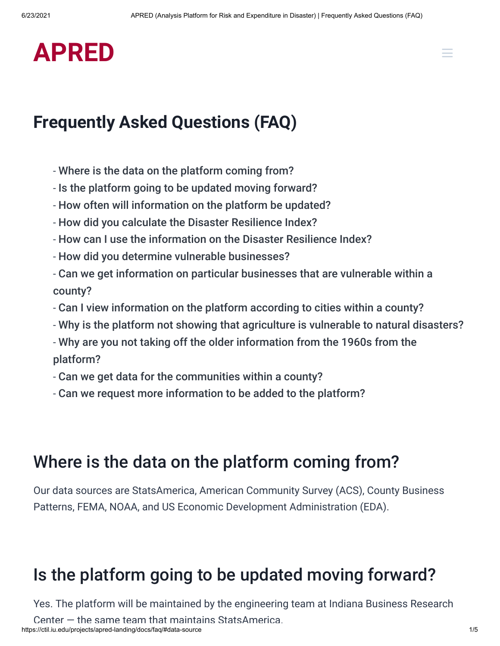# **[APRED](https://ctil.iu.edu/projects/apred-landing/)**

#### <span id="page-0-2"></span>**Frequently Asked Questions (FAQ)**

- [Where is the data on the platform coming from?](#page-0-0)
- [Is the platform going to be updated moving forward?](#page-0-1)
- [How often will information on the platform be updated?](#page-1-0)
- [How did you calculate the Disaster Resilience Index?](#page-1-1)
- [How can I use the information on the Disaster Resilience Index?](#page-1-2)
- [How did you determine vulnerable businesses?](#page-2-0)
- [Can we get information on particular businesses that are vulnerable within a](#page-2-1) county?
- [Can I view information on the platform according to cities within a county?](#page-2-2)
- [Why is the platform not showing that agriculture is vulnerable to natural disasters?](#page-2-3)
- [Why are you not taking off the older information from the 1960s from the](#page-3-0) platform?
- [Can we get data for the communities within a county?](#page-3-1)
- [Can we request more information to be added to the platform?](#page-3-2)

#### <span id="page-0-0"></span>Where is the data on the platform coming from?

Our data sources are StatsAmerica, American Community Survey (ACS), County Business Patterns, FEMA, NOAA, and US Economic Development Administration (EDA).

### <span id="page-0-1"></span>Is the platform going to be updated moving forward?

Yes. The platform will be maintained by the engineering team at Indiana Business Research

https://ctil.iu.edu/projects/apred-landing/docs/faq/#data-source 1/5 Center  $-$  the same team that maintains StatsAmerica.

 $\equiv$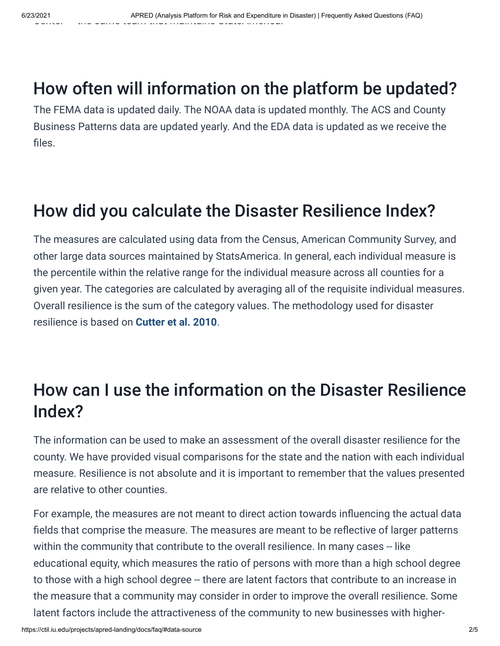## <span id="page-1-0"></span>How often will information on the platform be updated?

The FEMA data is updated daily. The NOAA data is updated monthly. The ACS and County Business Patterns data are updated yearly. And the EDA data is updated as we receive the files.

## <span id="page-1-1"></span>How did you calculate the Disaster Resilience Index?

The measures are calculated using data from the Census, American Community Survey, and other large data sources maintained by StatsAmerica. In general, each individual measure is the percentile within the relative range for the individual measure across all counties for a given year. The categories are calculated by averaging all of the requisite individual measures. Overall resilience is the sum of the category values. The methodology used for disaster resilience is based on **[Cutter et al. 2010](http://resiliencesystem.com/sites/default/files/Cutter_jhsem.2010.7.1.1732.pdf)**.

## <span id="page-1-2"></span>How can I use the information on the Disaster Resilience Index?

The information can be used to make an assessment of the overall disaster resilience for the county. We have provided visual comparisons for the state and the nation with each individual measure. Resilience is not absolute and it is important to remember that the values presented are relative to other counties.

For example, the measures are not meant to direct action towards influencing the actual data fields that comprise the measure. The measures are meant to be reflective of larger patterns within the community that contribute to the overall resilience. In many cases -- like educational equity, which measures the ratio of persons with more than a high school degree to those with a high school degree -- there are latent factors that contribute to an increase in the measure that a community may consider in order to improve the overall resilience. Some latent factors include the attractiveness of the community to new businesses with higher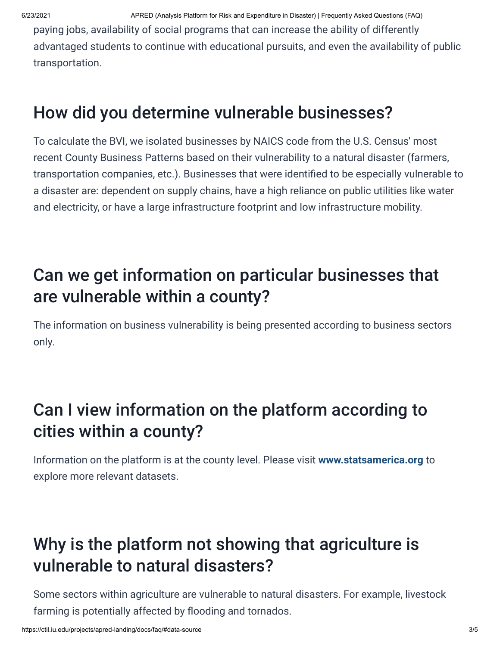paying jobs, availability of social programs that can increase the ability of differently advantaged students to continue with educational pursuits, and even the availability of public transportation.

### <span id="page-2-0"></span>How did you determine vulnerable businesses?

To calculate the BVI, we isolated businesses by NAICS code from the U.S. Census' most recent County Business Patterns based on their vulnerability to a natural disaster (farmers, transportation companies, etc.). Businesses that were identified to be especially vulnerable to a disaster are: dependent on supply chains, have a high reliance on public utilities like water and electricity, or have a large infrastructure footprint and low infrastructure mobility.

## <span id="page-2-1"></span>Can we get information on particular businesses that are vulnerable within a county?

The information on business vulnerability is being presented according to business sectors only.

## <span id="page-2-2"></span>Can I view information on the platform according to cities within a county?

Information on the platform is at the county level. Please visit **[www.statsamerica.org](https://www.statsamerica.org/)** to explore more relevant datasets.

## <span id="page-2-3"></span>Why is the platform not showing that agriculture is vulnerable to natural disasters?

Some sectors within agriculture are vulnerable to natural disasters. For example, livestock farming is potentially affected by flooding and tornados.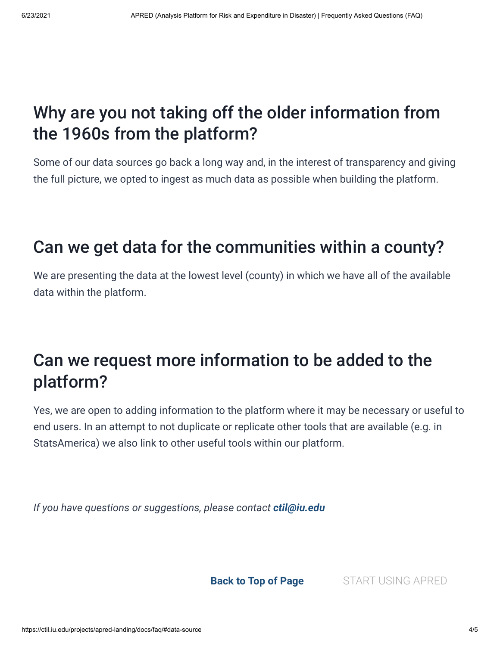### <span id="page-3-0"></span>Why are you not taking off the older information from the 1960s from the platform?

Some of our data sources go back a long way and, in the interest of transparency and giving the full picture, we opted to ingest as much data as possible when building the platform.

### <span id="page-3-1"></span>Can we get data for the communities within a county?

We are presenting the data at the lowest level (county) in which we have all of the available data within the platform.

### <span id="page-3-2"></span>Can we request more information to be added to the platform?

Yes, we are open to adding information to the platform where it may be necessary or useful to end users. In an attempt to not duplicate or replicate other tools that are available (e.g. in StatsAmerica) we also link to other useful tools within our platform.

*If you have questions or suggestions, please contact [ctil@iu.edu](https://ctil.iu.edu/projects/apred-landing/docs/faq/ctil@iu.edu)*

**[Back to Top of Page](#page-0-2)** [START USING APRED](https://ctil.iu.edu/projects/apred/#/)